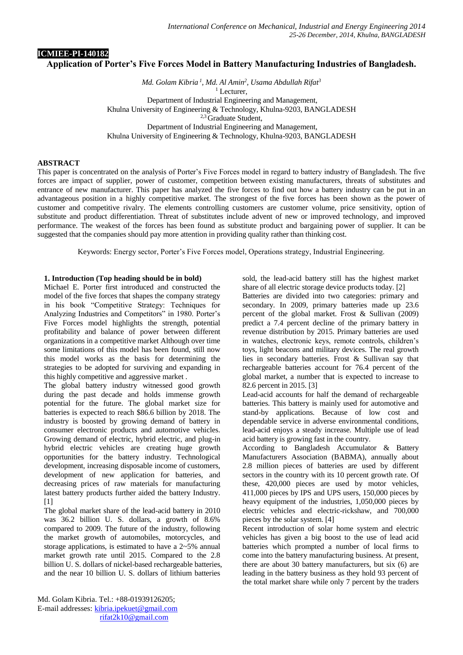# **ICMIEE-PI-140182 Application of Porter's Five Forces Model in Battery Manufacturing Industries of Bangladesh.**

*Md. Golam Kibria <sup>1</sup> , Md. Al Amin<sup>2</sup> , Usama Abdullah Rifat<sup>3</sup>* <sup>1</sup> Lecturer, Department of Industrial Engineering and Management, Khulna University of Engineering & Technology, Khulna-9203, BANGLADESH <sup>2,3</sup> Graduate Student, Department of Industrial Engineering and Management, Khulna University of Engineering & Technology, Khulna-9203, BANGLADESH

### **ABSTRACT**

This paper is concentrated on the analysis of Porter's Five Forces model in regard to battery industry of Bangladesh. The five forces are impact of supplier, power of customer, competition between existing manufacturers, threats of substitutes and entrance of new manufacturer. This paper has analyzed the five forces to find out how a battery industry can be put in an advantageous position in a highly competitive market. The strongest of the five forces has been shown as the power of customer and competitive rivalry. The elements controlling customers are customer volume, price sensitivity, option of substitute and product differentiation. Threat of substitutes include advent of new or improved technology, and improved performance. The weakest of the forces has been found as substitute product and bargaining power of supplier. It can be suggested that the companies should pay more attention in providing quality rather than thinking cost.

Keywords: Energy sector, Porter's Five Forces model, Operations strategy, Industrial Engineering.

### **1. Introduction (Top heading should be in bold)**

Michael E. Porter first introduced and constructed the model of the five forces that shapes the company strategy in his book "Competitive Strategy: Techniques for Analyzing Industries and Competitors" in 1980. Porter's Five Forces model highlights the strength, potential profitability and balance of power between different organizations in a competitive market Although over time some limitations of this model has been found, still now this model works as the basis for determining the strategies to be adopted for surviving and expanding in this highly competitive and aggressive market .

The global battery industry witnessed good growth during the past decade and holds immense growth potential for the future. The global market size for batteries is expected to reach \$86.6 billion by 2018. The industry is boosted by growing demand of battery in consumer electronic products and automotive vehicles. Growing demand of electric, hybrid electric, and plug-in hybrid electric vehicles are creating huge growth opportunities for the battery industry. Technological development, increasing disposable income of customers, development of new application for batteries, and decreasing prices of raw materials for manufacturing latest battery products further aided the battery Industry. [1]

The global market share of the lead-acid battery in 2010 was 36.2 billion U. S. dollars, a growth of 8.6% compared to 2009. The future of the industry, following the market growth of automobiles, motorcycles, and storage applications, is estimated to have a 2~5% annual market growth rate until 2015. Compared to the 2.8 billion U. S. dollars of nickel-based rechargeable batteries, and the near 10 billion U. S. dollars of lithium batteries

sold, the lead-acid battery still has the highest market share of all electric storage device products today. [2]

Batteries are divided into two categories: primary and secondary. In 2009, primary batteries made up 23.6 percent of the global market. Frost & Sullivan (2009) predict a 7.4 percent decline of the primary battery in revenue distribution by 2015. Primary batteries are used in watches, electronic keys, remote controls, children's toys, light beacons and military devices. The real growth lies in secondary batteries. Frost & Sullivan say that rechargeable batteries account for 76.4 percent of the global market, a number that is expected to increase to 82.6 percent in 2015. [3]

Lead-acid accounts for half the demand of rechargeable batteries. This battery is mainly used for automotive and stand-by applications. Because of low cost and dependable service in adverse environmental conditions, lead-acid enjoys a steady increase. Multiple use of lead acid battery is growing fast in the country.

According to Bangladesh Accumulator & Battery Manufacturers Association (BABMA), annually about 2.8 million pieces of batteries are used by different sectors in the country with its 10 percent growth rate. Of these, 420,000 pieces are used by motor vehicles, 411,000 pieces by IPS and UPS users, 150,000 pieces by heavy equipment of the industries, 1,050,000 pieces by electric vehicles and electric-rickshaw, and 700,000 pieces by the solar system. [4]

Recent introduction of solar home system and electric vehicles has given a big boost to the use of lead acid batteries which prompted a number of local firms to come into the battery manufacturing business. At present, there are about 30 battery manufacturers, but six (6) are leading in the battery business as they hold 93 percent of the total market share while only 7 percent by the traders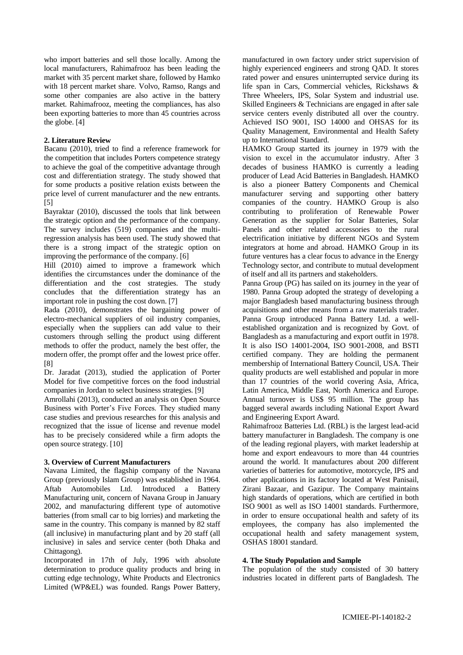who import batteries and sell those locally. Among the local manufacturers, Rahimafrooz has been leading the market with 35 percent market share, followed by Hamko with 18 percent market share. Volvo, Ramso, Rangs and some other companies are also active in the battery market. Rahimafrooz, meeting the compliances, has also been exporting batteries to more than 45 countries across the globe. [4]

### **2. Literature Review**

Bacanu (2010), tried to find a reference framework for the competition that includes Porters competence strategy to achieve the goal of the competitive advantage through cost and differentiation strategy. The study showed that for some products a positive relation exists between the price level of current manufacturer and the new entrants. [5]

Bayraktar (2010), discussed the tools that link between the strategic option and the performance of the company. The survey includes (519) companies and the multiregression analysis has been used. The study showed that there is a strong impact of the strategic option on improving the performance of the company. [6]

Hill (2010) aimed to improve a framework which identifies the circumstances under the dominance of the differentiation and the cost strategies. The study concludes that the differentiation strategy has an important role in pushing the cost down. [7]

Rada (2010), demonstrates the bargaining power of electro-mechanical suppliers of oil industry companies, especially when the suppliers can add value to their customers through selling the product using different methods to offer the product, namely the best offer, the modern offer, the prompt offer and the lowest price offer. [8]

Dr. Jaradat (2013), studied the application of Porter Model for five competitive forces on the food industrial companies in Jordan to select business strategies. [9]

Amrollahi (2013), conducted an analysis on Open Source Business with Porter's Five Forces. They studied many case studies and previous researches for this analysis and recognized that the issue of license and revenue model has to be precisely considered while a firm adopts the open source strategy. [10]

#### **3. Overview of Current Manufacturers**

Navana Limited, the flagship company of the Navana Group (previously Islam Group) was established in 1964. Aftab Automobiles Ltd. Introduced a Battery Manufacturing unit, concern of Navana Group in January 2002, and manufacturing different type of automotive batteries (from small car to big lorries) and marketing the same in the country. This company is manned by 82 staff (all inclusive) in manufacturing plant and by 20 staff (all inclusive) in sales and service center (both Dhaka and Chittagong).

Incorporated in 17th of July, 1996 with absolute determination to produce quality products and bring in cutting edge technology, White Products and Electronics Limited (WP&EL) was founded. Rangs Power Battery, manufactured in own factory under strict supervision of highly experienced engineers and strong QAD. It stores rated power and ensures uninterrupted service during its life span in Cars, Commercial vehicles, Rickshaws & Three Wheelers, IPS, Solar System and industrial use. Skilled Engineers & Technicians are engaged in after sale service centers evenly distributed all over the country. Achieved ISO 9001, ISO 14000 and OHSAS for its Quality Management, Environmental and Health Safety up to International Standard.

HAMKO Group started its journey in 1979 with the vision to excel in the accumulator industry. After 3 decades of business HAMKO is currently a leading producer of Lead Acid Batteries in Bangladesh. HAMKO is also a pioneer Battery Components and Chemical manufacturer serving and supporting other battery companies of the country. HAMKO Group is also contributing to proliferation of Renewable Power Generation as the supplier for Solar Batteries, Solar Panels and other related accessories to the rural electrification initiative by different NGOs and System integrators at home and abroad. HAMKO Group in its future ventures has a clear focus to advance in the Energy Technology sector, and contribute to mutual development of itself and all its partners and stakeholders.

Panna Group (PG) has sailed on its journey in the year of 1980. Panna Group adopted the strategy of developing a major Bangladesh based manufacturing business through acquisitions and other means from a raw materials trader. Panna Group introduced Panna Battery Ltd. a wellestablished organization and is recognized by Govt. of Bangladesh as a manufacturing and export outfit in 1978. It is also ISO 14001-2004, ISO 9001-2008, and BSTI certified company. They are holding the permanent membership of International Battery Council, USA. Their quality products are well established and popular in more than 17 countries of the world covering Asia, Africa, Latin America, Middle East, North America and Europe. Annual turnover is US\$ 95 million. The group has bagged several awards including National Export Award and Engineering Export Award.

Rahimafrooz Batteries Ltd. (RBL) is the largest lead-acid battery manufacturer in Bangladesh. The company is one of the leading regional players, with market leadership at home and export endeavours to more than 44 countries around the world. It manufactures about 200 different varieties of batteries for automotive, motorcycle, IPS and other applications in its factory located at West Panisail, Zirani Bazaar, and Gazipur. The Company maintains high standards of operations, which are certified in both ISO 9001 as well as ISO 14001 standards. Furthermore, in order to ensure occupational health and safety of its employees, the company has also implemented the occupational health and safety management system, OSHAS 18001 standard.

#### **4. The Study Population and Sample**

The population of the study consisted of 30 battery industries located in different parts of Bangladesh. The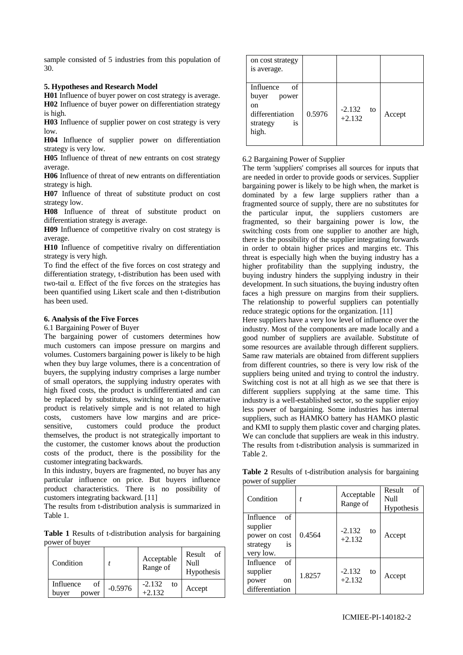sample consisted of 5 industries from this population of 30.

### **5. Hypotheses and Research Model**

**H01** Influence of buyer power on cost strategy is average. **H02** Influence of buyer power on differentiation strategy is high.

**H03** Influence of supplier power on cost strategy is very low.

**H04** Influence of supplier power on differentiation strategy is very low.

**H05** Influence of threat of new entrants on cost strategy average.

**H06** Influence of threat of new entrants on differentiation strategy is high.

**H07** Influence of threat of substitute product on cost strategy low.

**H08** Influence of threat of substitute product on differentiation strategy is average.

**H09** Influence of competitive rivalry on cost strategy is average.

**H10** Influence of competitive rivalry on differentiation strategy is very high.

To find the effect of the five forces on cost strategy and differentiation strategy, t-distribution has been used with two-tail α. Effect of the five forces on the strategies has been quantified using Likert scale and then t-distribution has been used.

## **6. Analysis of the Five Forces**

6.1 Bargaining Power of Buyer

The bargaining power of customers determines how much customers can impose pressure on margins and volumes. Customers bargaining power is likely to be high when they buy large volumes, there is a concentration of buyers, the supplying industry comprises a large number of small operators, the supplying industry operates with high fixed costs, the product is undifferentiated and can be replaced by substitutes, switching to an alternative product is relatively simple and is not related to high costs, customers have low margins and are pricesensitive, customers could produce the product themselves, the product is not strategically important to the customer, the customer knows about the production costs of the product, there is the possibility for the customer integrating backwards.

In this industry, buyers are fragmented, no buyer has any particular influence on price. But buyers influence product characteristics. There is no possibility of customers integrating backward. [11]

The results from t-distribution analysis is summarized in Table 1.

**Table 1** Results of t-distribution analysis for bargaining power of buyer

| Condition                         |           | Acceptable<br>Range of     | Result<br>of<br>Null<br>Hypothesis |
|-----------------------------------|-----------|----------------------------|------------------------------------|
| Influence<br>of<br>buver<br>power | $-0.5976$ | $-2.132$<br>to<br>$+2.132$ | Accept                             |

| on cost strategy<br>is average.                                                       |        |                            |        |
|---------------------------------------------------------------------------------------|--------|----------------------------|--------|
| Influence<br>of<br>buyer<br>power<br>on<br>differentiation<br>strategy<br>1S<br>high. | 0.5976 | $-2.132$<br>to<br>$+2.132$ | Accept |

### 6.2 Bargaining Power of Supplier

The term 'suppliers' comprises all sources for inputs that are needed in order to provide goods or services. Supplier bargaining power is likely to be high when, the market is dominated by a few large suppliers rather than a fragmented source of supply, there are no substitutes for the particular input, the suppliers customers are fragmented, so their bargaining power is low, the switching costs from one supplier to another are high, there is the possibility of the supplier integrating forwards in order to obtain higher prices and margins etc. This threat is especially high when the buying industry has a higher profitability than the supplying industry, the buying industry hinders the supplying industry in their development. In such situations, the buying industry often faces a high pressure on margins from their suppliers. The relationship to powerful suppliers can potentially reduce strategic options for the organization. [11]

Here suppliers have a very low level of influence over the industry. Most of the components are made locally and a good number of suppliers are available. Substitute of some resources are available through different suppliers. Same raw materials are obtained from different suppliers from different countries, so there is very low risk of the suppliers being united and trying to control the industry. Switching cost is not at all high as we see that there is different suppliers supplying at the same time. This industry is a well-established sector, so the supplier enjoy less power of bargaining. Some industries has internal suppliers, such as HAMKO battery has HAMKO plastic and KMI to supply them plastic cover and charging plates. We can conclude that suppliers are weak in this industry. The results from t-distribution analysis is summarized in Table 2.

| $0 - 0$ wp pass                                                             |        |                            |                                    |
|-----------------------------------------------------------------------------|--------|----------------------------|------------------------------------|
| Condition                                                                   | t      | Acceptable<br>Range of     | Result<br>of<br>Null<br>Hypothesis |
| of<br>Influence<br>supplier<br>power on cost<br>is<br>strategy<br>very low. | 0.4564 | $-2.132$<br>to<br>$+2.132$ | Accept                             |
| $\sigma$ f<br>Influence<br>supplier<br>power<br>on<br>differentiation       | 1.8257 | $-2.132$<br>to<br>$+2.132$ | Accept                             |

**Table 2** Results of t-distribution analysis for bargaining power of supplier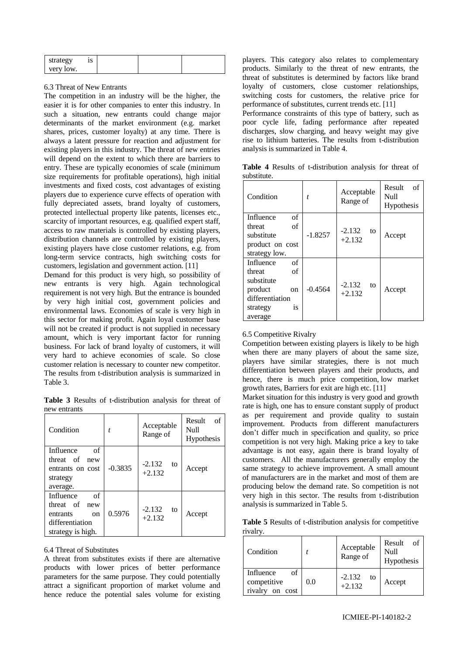| strategy  | 10<br>10 |  |  |
|-----------|----------|--|--|
| very low. |          |  |  |

### 6.3 Threat of New Entrants

The competition in an industry will be the higher, the easier it is for other companies to enter this industry. In such a situation, new entrants could change major determinants of the market environment (e.g. market shares, prices, customer loyalty) at any time. There is always a latent pressure for reaction and adjustment for existing players in this industry. The threat of new entries will depend on the extent to which there are barriers to entry. These are typically economies of scale (minimum size requirements for profitable operations), high initial investments and fixed costs, cost advantages of existing players due to experience curve effects of operation with fully depreciated assets, brand loyalty of customers, protected intellectual property like patents, licenses etc., scarcity of important resources, e.g. qualified expert staff, access to raw materials is controlled by existing players, distribution channels are controlled by existing players, existing players have close customer relations, e.g. from long-term service contracts, high switching costs for customers, legislation and government action. [11]

Demand for this product is very high, so possibility of new entrants is very high. Again technological requirement is not very high. But the entrance is bounded by very high initial cost, government policies and environmental laws. Economies of scale is very high in this sector for making profit. Again loyal customer base will not be created if product is not supplied in necessary amount, which is very important factor for running business. For lack of brand loyalty of customers, it will very hard to achieve economies of scale. So close customer relation is necessary to counter new competitor. The results from t-distribution analysis is summarized in Table 3.

**Table 3** Results of t-distribution analysis for threat of new entrants

| Condition                                                                                  |           | Acceptable<br>Range of     | Result<br>of<br>Null<br>Hypothesis |
|--------------------------------------------------------------------------------------------|-----------|----------------------------|------------------------------------|
| Influence<br>of<br>threat of<br>new<br>entrants on cost<br>strategy<br>average.            | $-0.3835$ | $-2.132$<br>to<br>$+2.132$ | Accept                             |
| Influence<br>of<br>threat of new<br>entrants<br>on<br>differentiation<br>strategy is high. | 0.5976    | $-2.132$<br>to<br>$+2.132$ | Accept                             |

#### 6.4 Threat of Substitutes

A threat from substitutes exists if there are alternative products with lower prices of better performance parameters for the same purpose. They could potentially attract a significant proportion of market volume and hence reduce the potential sales volume for existing players. This category also relates to complementary products. Similarly to the threat of new entrants, the threat of substitutes is determined by factors like brand loyalty of customers, close customer relationships, switching costs for customers, the relative price for performance of substitutes, current trends etc. [11]

Performance constraints of this type of battery, such as poor cycle life, fading performance after repeated discharges, slow charging, and heavy weight may give rise to lithium batteries. The results from t-distribution analysis is summarized in Table 4.

| substitute. |                        |                                    |
|-------------|------------------------|------------------------------------|
| Condition   | Acceptable<br>Range of | Result<br>Ωf<br>Null<br>Hypothesis |

**Table 4** Results of t-distribution analysis for threat of

| Condition                                                                                                                  | t         | Acceptable<br>Range of     | Null<br>Hypothesis |
|----------------------------------------------------------------------------------------------------------------------------|-----------|----------------------------|--------------------|
| of<br>Influence<br>of<br>threat<br>substitute<br>product on cost<br>strategy low.                                          | $-1.8257$ | $-2.132$<br>to<br>$+2.132$ | Accept             |
| Influence<br>of<br>of<br>threat<br>substitute<br>product<br><sub>on</sub><br>differentiation<br>strategy<br>İS.<br>average | $-0.4564$ | $-2.132$<br>to<br>$+2.132$ | Accept             |

## 6.5 Competitive Rivalry

Competition between existing players is likely to be high when there are many players of about the same size, players have similar strategies, there is not much differentiation between players and their products, and hence, there is much price competition, low market growth rates, Barriers for exit are high etc. [11]

Market situation for this industry is very good and growth rate is high, one has to ensure constant supply of product as per requirement and provide quality to sustain improvement. Products from different manufacturers don't differ much in specification and quality, so price competition is not very high. Making price a key to take advantage is not easy, again there is brand loyalty of customers. All the manufacturers generally employ the same strategy to achieve improvement. A small amount of manufacturers are in the market and most of them are producing below the demand rate. So competition is not very high in this sector. The results from t-distribution analysis is summarized in Table 5.

**Table 5** Results of t-distribution analysis for competitive rivalry.

| Condition                                         |     | Acceptable<br>Range of     | Result<br>of<br>Null<br>Hypothesis |
|---------------------------------------------------|-----|----------------------------|------------------------------------|
| of<br>Influence<br>competitive<br>rivalry on cost | 0.0 | $-2.132$<br>to<br>$+2.132$ | Accept                             |